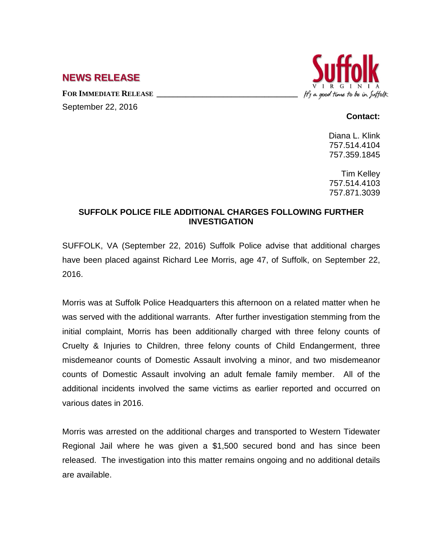## **NEWS RELEASE**

FOR **IMMEDIATE RELEASE** 

September 22, 2016

## It's a good time to be in Suffolk

## **Contact:**

Diana L. Klink 757.514.4104 757.359.1845

Tim Kelley 757.514.4103 757.871.3039

## **SUFFOLK POLICE FILE ADDITIONAL CHARGES FOLLOWING FURTHER INVESTIGATION**

SUFFOLK, VA (September 22, 2016) Suffolk Police advise that additional charges have been placed against Richard Lee Morris, age 47, of Suffolk, on September 22, 2016.

Morris was at Suffolk Police Headquarters this afternoon on a related matter when he was served with the additional warrants. After further investigation stemming from the initial complaint, Morris has been additionally charged with three felony counts of Cruelty & Injuries to Children, three felony counts of Child Endangerment, three misdemeanor counts of Domestic Assault involving a minor, and two misdemeanor counts of Domestic Assault involving an adult female family member. All of the additional incidents involved the same victims as earlier reported and occurred on various dates in 2016.

Morris was arrested on the additional charges and transported to Western Tidewater Regional Jail where he was given a \$1,500 secured bond and has since been released. The investigation into this matter remains ongoing and no additional details are available.